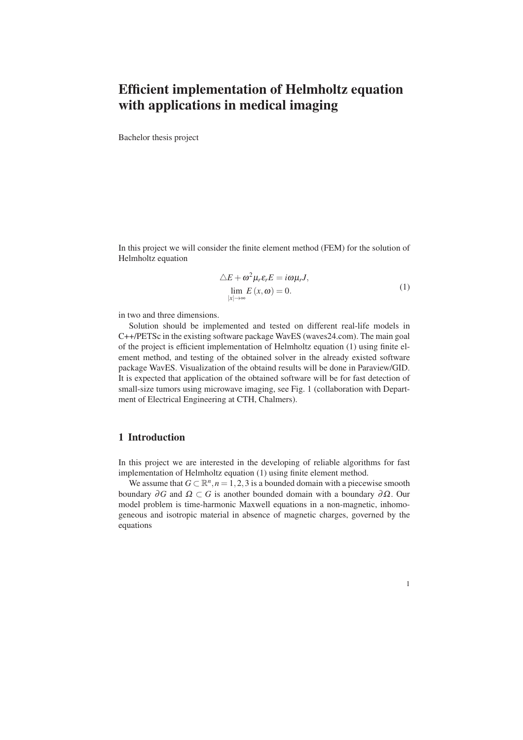## Efficient implementation of Helmholtz equation with applications in medical imaging

Bachelor thesis project

In this project we will consider the finite element method (FEM) for the solution of Helmholtz equation

$$
\Delta E + \omega^2 \mu_r \varepsilon_r E = i\omega \mu_r J,
$$
  
\n
$$
\lim_{|x| \to \infty} E(x, \omega) = 0.
$$
\n(1)

in two and three dimensions.

Solution should be implemented and tested on different real-life models in C++/PETSc in the existing software package WavES (waves24.com). The main goal of the project is efficient implementation of Helmholtz equation (1) using finite element method, and testing of the obtained solver in the already existed software package WavES. Visualization of the obtaind results will be done in Paraview/GID. It is expected that application of the obtained software will be for fast detection of small-size tumors using microwave imaging, see Fig. 1 (collaboration with Department of Electrical Engineering at CTH, Chalmers).

## 1 Introduction

In this project we are interested in the developing of reliable algorithms for fast implementation of Helmholtz equation (1) using finite element method.

We assume that  $G \subset \mathbb{R}^n, n = 1, 2, 3$  is a bounded domain with a piecewise smooth boundary  $\partial G$  and  $\Omega \subset G$  is another bounded domain with a boundary  $\partial \Omega$ . Our model problem is time-harmonic Maxwell equations in a non-magnetic, inhomogeneous and isotropic material in absence of magnetic charges, governed by the equations

1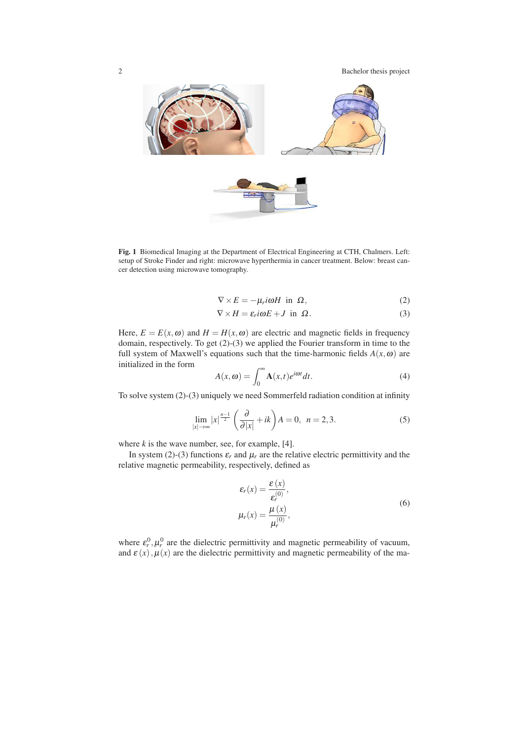

Fig. 1 Biomedical Imaging at the Department of Electrical Engineering at CTH, Chalmers. Left: setup of Stroke Finder and right: microwave hyperthermia in cancer treatment. Below: breast cancer detection using microwave tomography.

$$
\nabla \times E = -\mu_r i\omega H \text{ in } \Omega,
$$
 (2)

$$
\nabla \times H = \varepsilon_r i \omega E + J \text{ in } \Omega. \tag{3}
$$

Here,  $E = E(x, \omega)$  and  $H = H(x, \omega)$  are electric and magnetic fields in frequency domain, respectively. To get (2)-(3) we applied the Fourier transform in time to the full system of Maxwell's equations such that the time-harmonic fields  $A(x, \omega)$  are initialized in the form

$$
A(x, \omega) = \int_0^\infty \mathbf{A}(x, t) e^{i\omega t} dt.
$$
 (4)

To solve system (2)-(3) uniquely we need Sommerfeld radiation condition at infinity

$$
\lim_{|x| \to \infty} |x|^{\frac{n-1}{2}} \left( \frac{\partial}{\partial |x|} + ik \right) A = 0, \ \ n = 2, 3. \tag{5}
$$

where  $k$  is the wave number, see, for example, [4].

In system (2)-(3) functions  $\varepsilon_r$  and  $\mu_r$  are the relative electric permittivity and the relative magnetic permeability, respectively, defined as

$$
\varepsilon_r(x) = \frac{\varepsilon(x)}{\varepsilon_r^{(0)}},
$$
  
\n
$$
\mu_r(x) = \frac{\mu(x)}{\mu_r^{(0)}},
$$
\n(6)

where  $\varepsilon_r^0$ ,  $\mu_r^0$  are the dielectric permittivity and magnetic permeability of vacuum, and  $\varepsilon(x)$ ,  $\mu(x)$  are the dielectric permittivity and magnetic permeability of the ma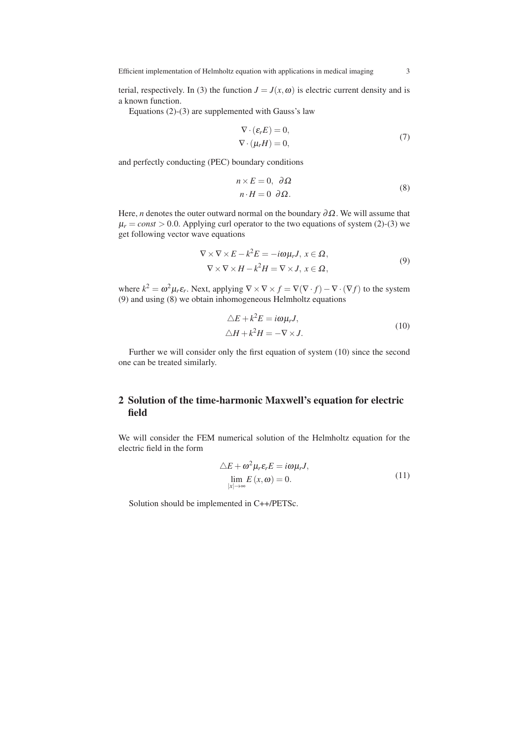Efficient implementation of Helmholtz equation with applications in medical imaging 3

terial, respectively. In (3) the function  $J = J(x, \omega)$  is electric current density and is a known function.

Equations (2)-(3) are supplemented with Gauss's law

$$
\nabla \cdot (\varepsilon_r E) = 0,
$$
  
\n
$$
\nabla \cdot (\mu_r H) = 0,
$$
\n(7)

and perfectly conducting (PEC) boundary conditions

$$
n \times E = 0, \partial \Omega \nn \cdot H = 0 \partial \Omega.
$$
\n(8)

Here, *n* denotes the outer outward normal on the boundary  $\partial \Omega$ . We will assume that  $\mu_r = const > 0.0$ . Applying curl operator to the two equations of system (2)-(3) we get following vector wave equations

$$
\nabla \times \nabla \times E - k^2 E = -i\omega \mu_r J, \ x \in \Omega,
$$
  

$$
\nabla \times \nabla \times H - k^2 H = \nabla \times J, \ x \in \Omega,
$$
 (9)

where  $k^2 = \omega^2 \mu_r \varepsilon_r$ . Next, applying  $\nabla \times \nabla \times f = \nabla (\nabla \cdot f) - \nabla \cdot (\nabla f)$  to the system (9) and using (8) we obtain inhomogeneous Helmholtz equations

$$
\Delta E + k^2 E = i\omega \mu_r J,
$$
  

$$
\Delta H + k^2 H = -\nabla \times J.
$$
 (10)

Further we will consider only the first equation of system (10) since the second one can be treated similarly.

## 2 Solution of the time-harmonic Maxwell's equation for electric field

We will consider the FEM numerical solution of the Helmholtz equation for the electric field in the form

$$
\Delta E + \omega^2 \mu_r \varepsilon_r E = i\omega \mu_r J,
$$
  
\n
$$
\lim_{|x| \to \infty} E(x, \omega) = 0.
$$
\n(11)

Solution should be implemented in C++/PETSc.